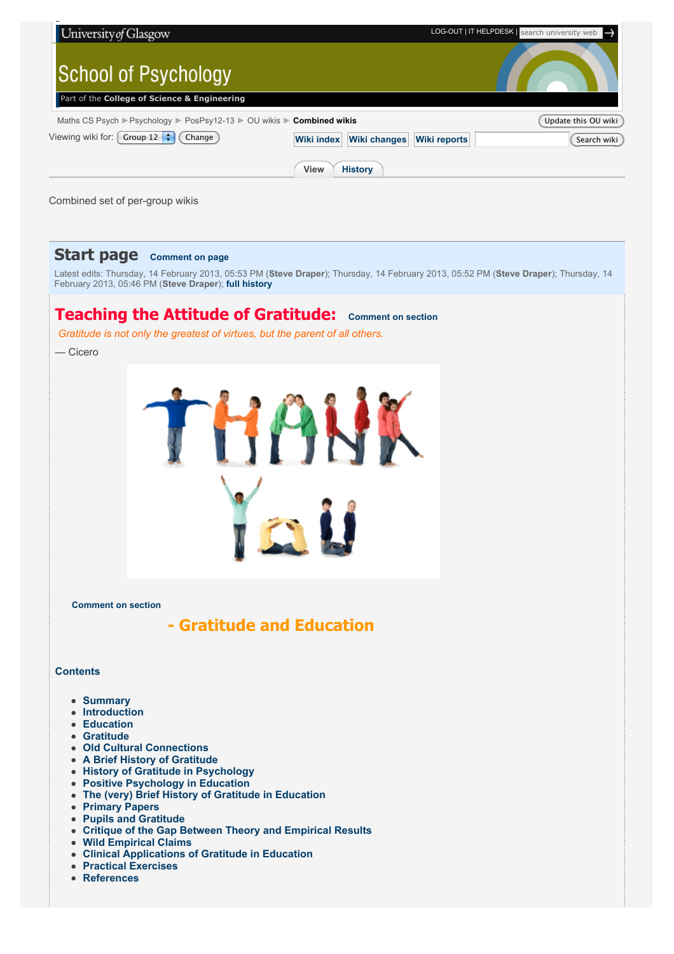| University of Glasgow                                            |                                                                 | LOG-OUT   IT HELPDESK   search university web |  |  |
|------------------------------------------------------------------|-----------------------------------------------------------------|-----------------------------------------------|--|--|
| <b>School of Psychology</b>                                      |                                                                 |                                               |  |  |
| Part of the College of Science & Engineering                     |                                                                 |                                               |  |  |
| Maths CS Psych Psychology PosPsy12-13 POU wikis P Combined wikis |                                                                 | Update this OU wiki                           |  |  |
| Group 12 $\div$<br>Viewing wiki for:  <br>Change                 | <b>Wiki changes</b><br><b>Wiki reports</b><br><b>Wiki index</b> | Search wiki                                   |  |  |
|                                                                  | <b>View</b><br><b>History</b>                                   |                                               |  |  |

Combined set of per-group wikis

## **Start page [Comment on page](http://fims.moodle.gla.ac.uk/mod/ouwiki/comments.php?id=22976&group=450#post)**

Latest edits: Thursday, 14 February 2013, 05:53 PM (**[Steve Draper](http://fims.moodle.gla.ac.uk/user/view.php?id=2422&course=441)**); Thursday, 14 February 2013, 05:52 PM (**[Steve Draper](http://fims.moodle.gla.ac.uk/user/view.php?id=2422&course=441)**); Thursday, 14 February 2013, 05:46 PM (**[Steve Draper](http://fims.moodle.gla.ac.uk/user/view.php?id=2422&course=441)**); **[full history](http://fims.moodle.gla.ac.uk/mod/ouwiki/history.php?id=22976&group=450)**

# **Teaching the Attitude of Gratitude: [Comment on section](http://fims.moodle.gla.ac.uk/mod/ouwiki/comments.php?id=22976&group=450§ion=43_0#post)**

*Gratitude is not only the greatest of virtues, but the parent of all others.*

— Cicero



**[Comment on section](http://fims.moodle.gla.ac.uk/mod/ouwiki/comments.php?id=22976&group=450§ion=43_1#post)**

 **- Gratitude and Education**

## **Contents**

- **[Summary](http://fims.moodle.gla.ac.uk/mod/ouwiki/view.php?id=22976&group=450#Summary)**
- **[Introduction](http://fims.moodle.gla.ac.uk/mod/ouwiki/view.php?id=22976&group=450#Summary)**
- **[Education](http://fims.moodle.gla.ac.uk/mod/ouwiki/view.php?id=22976&group=450#Ed)**
- **[Gratitude](http://fims.moodle.gla.ac.uk/mod/ouwiki/view.php?id=22976&group=450#Grat)**
- **[Old Cultural Connections](http://fims.moodle.gla.ac.uk/mod/ouwiki/view.php?id=22976&group=450#Old)**
- **[A Brief History of Gratitude](http://fims.moodle.gla.ac.uk/mod/ouwiki/view.php?id=22976&group=450#History)**
- **[History of Gratitude in Psychology](http://fims.moodle.gla.ac.uk/mod/ouwiki/view.php?id=22976&group=450#His%20in%20Psy)**
- **[Positive Psychology in Education](http://fims.moodle.gla.ac.uk/mod/ouwiki/view.php?id=22976&group=450#Pospsy%20in%20ed)**
- **[The \(very\) Brief History of Gratitude in Education](http://fims.moodle.gla.ac.uk/mod/ouwiki/view.php?id=22976&group=450#Grat%20in%20ed)**
- **[Primary Papers](http://fims.moodle.gla.ac.uk/mod/ouwiki/view.php?id=22976&group=450#Primary%20Paper)**
- **[Pupils and Gratitude](http://fims.moodle.gla.ac.uk/mod/ouwiki/view.php?id=22976&group=450#Pup%20and%20Grat)**
- **[Critique of the Gap Between Theory and Empirical Results](http://fims.moodle.gla.ac.uk/mod/ouwiki/view.php?id=22976&group=450#Crit)**
- **[Wild Empirical Claims](http://fims.moodle.gla.ac.uk/mod/ouwiki/view.php?id=22976&group=450#Claims)**
- **[Clinical Applications of Gratitude in Education](http://fims.moodle.gla.ac.uk/mod/ouwiki/view.php?id=22976&group=450#Clinical)**
- **[Practical Exercises](http://fims.moodle.gla.ac.uk/mod/ouwiki/view.php?id=22976&group=450#Practical)**
- **[References](http://fims.moodle.gla.ac.uk/mod/ouwiki/view.php?id=22976&group=450#Ref)**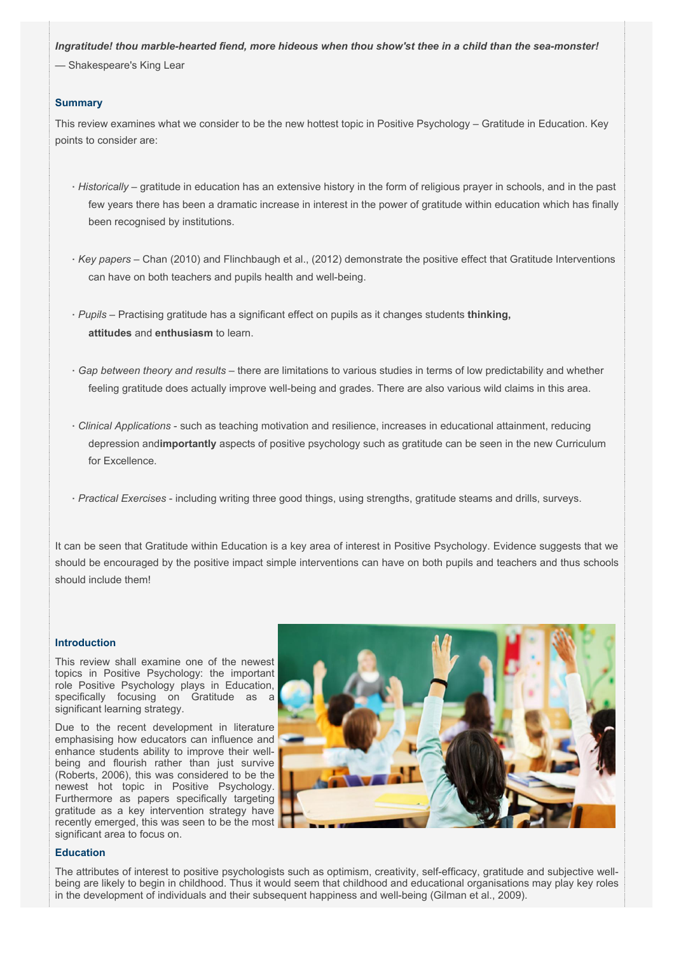*Ingratitude! thou marble-hearted fiend, more hideous when thou show'st thee in a child than the sea-monster!*

— Shakespeare's King Lear

## **Summary**

This review examines what we consider to be the new hottest topic in Positive Psychology – Gratitude in Education. Key points to consider are:

- · *Historically* gratitude in education has an extensive history in the form of religious prayer in schools, and in the past few years there has been a dramatic increase in interest in the power of gratitude within education which has finally been recognised by institutions.
- · *Key papers*  Chan (2010) and Flinchbaugh et al., (2012) demonstrate the positive effect that Gratitude Interventions can have on both teachers and pupils health and well-being.
- · *Pupils*  Practising gratitude has a significant effect on pupils as it changes students **thinking, attitudes** and **enthusiasm** to learn.
- · *Gap between theory and results*  there are limitations to various studies in terms of low predictability and whether feeling gratitude does actually improve well-being and grades. There are also various wild claims in this area.
- · *Clinical Applications*  such as teaching motivation and resilience, increases in educational attainment, reducing depression and**importantly** aspects of positive psychology such as gratitude can be seen in the new Curriculum for Excellence.
- · *Practical Exercises*  including writing three good things, using strengths, gratitude steams and drills, surveys.

It can be seen that Gratitude within Education is a key area of interest in Positive Psychology. Evidence suggests that we should be encouraged by the positive impact simple interventions can have on both pupils and teachers and thus schools should include them!

## **Introduction**

This review shall examine one of the newest topics in Positive Psychology: the important role Positive Psychology plays in Education, specifically focusing on Gratitude as a significant learning strategy.

Due to the recent development in literature emphasising how educators can influence and enhance students ability to improve their wellbeing and flourish rather than just survive (Roberts, 2006), this was considered to be the newest hot topic in Positive Psychology. Furthermore as papers specifically targeting gratitude as a key intervention strategy have recently emerged, this was seen to be the most significant area to focus on.



## **Education**

The attributes of interest to positive psychologists such as optimism, creativity, self-efficacy, gratitude and subjective wellbeing are likely to begin in childhood. Thus it would seem that childhood and educational organisations may play key roles in the development of individuals and their subsequent happiness and well-being (Gilman et al., 2009).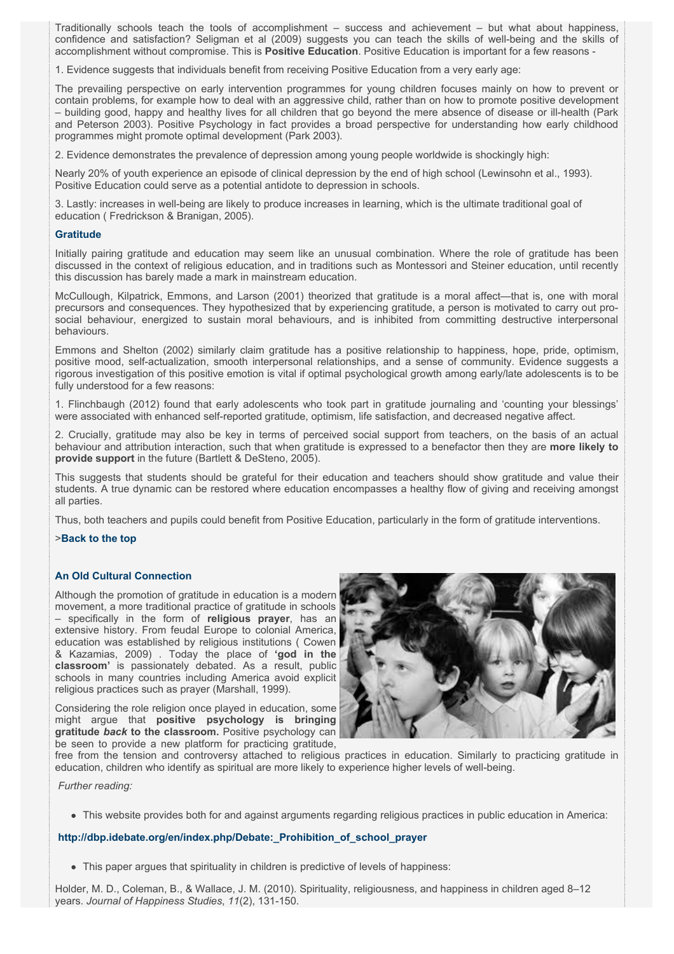Traditionally schools teach the tools of accomplishment – success and achievement – but what about happiness, confidence and satisfaction? Seligman et al (2009) suggests you can teach the skills of well-being and the skills of accomplishment without compromise. This is **Positive Education**. Positive Education is important for a few reasons -

1. Evidence suggests that individuals benefit from receiving Positive Education from a very early age:

The prevailing perspective on early intervention programmes for young children focuses mainly on how to prevent or contain problems, for example how to deal with an aggressive child, rather than on how to promote positive development – building good, happy and healthy lives for all children that go beyond the mere absence of disease or ill-health (Park and Peterson 2003). Positive Psychology in fact provides a broad perspective for understanding how early childhood programmes might promote optimal development (Park 2003).

2. Evidence demonstrates the prevalence of depression among young people worldwide is shockingly high:

Nearly 20% of youth experience an episode of clinical depression by the end of high school (Lewinsohn et al., 1993). Positive Education could serve as a potential antidote to depression in schools.

3. Lastly: increases in well-being are likely to produce increases in learning, which is the ultimate traditional goal of education ( Fredrickson & Branigan, 2005).

## **Gratitude**

Initially pairing gratitude and education may seem like an unusual combination. Where the role of gratitude has been discussed in the context of religious education, and in traditions such as Montessori and Steiner education, until recently this discussion has barely made a mark in mainstream education.

McCullough, Kilpatrick, Emmons, and Larson (2001) theorized that gratitude is a moral affect—that is, one with moral precursors and consequences. They hypothesized that by experiencing gratitude, a person is motivated to carry out prosocial behaviour, energized to sustain moral behaviours, and is inhibited from committing destructive interpersonal behaviours.

Emmons and Shelton (2002) similarly claim gratitude has a positive relationship to happiness, hope, pride, optimism, positive mood, self-actualization, smooth interpersonal relationships, and a sense of community. Evidence suggests a rigorous investigation of this positive emotion is vital if optimal psychological growth among early/late adolescents is to be fully understood for a few reasons:

1. Flinchbaugh (2012) found that early adolescents who took part in gratitude journaling and 'counting your blessings' were associated with enhanced self-reported gratitude, optimism, life satisfaction, and decreased negative affect.

2. Crucially, gratitude may also be key in terms of perceived social support from teachers, on the basis of an actual behaviour and attribution interaction, such that when gratitude is expressed to a benefactor then they are **more likely to provide support** in the future (Bartlett & DeSteno, 2005).

This suggests that students should be grateful for their education and teachers should show gratitude and value their students. A true dynamic can be restored where education encompasses a healthy flow of giving and receiving amongst all parties.

Thus, both teachers and pupils could benefit from Positive Education, particularly in the form of gratitude interventions.

## >**[Back to the top](http://fims.moodle.gla.ac.uk/mod/ouwiki/view.php?id=22976&group=450#Cont)**

## **An Old Cultural Connection**

Although the promotion of gratitude in education is a modern movement, a more traditional practice of gratitude in schools – specifically in the form of **religious prayer**, has an extensive history. From feudal Europe to colonial America, education was established by religious institutions ( Cowen & Kazamias, 2009) . Today the place of **'god in the classroom'** is passionately debated. As a result, public schools in many countries including America avoid explicit religious practices such as prayer (Marshall, 1999).

Considering the role religion once played in education, some might argue that **positive psychology is bringing gratitude** *back* **to the classroom.** Positive psychology can be seen to provide a new platform for practicing gratitude,



free from the tension and controversy attached to religious practices in education. Similarly to practicing gratitude in education, children who identify as spiritual are more likely to experience higher levels of well-being.

 *Further reading:*

This website provides both for and against arguments regarding religious practices in public education in America:

## **[http://dbp.idebate.org/en/index.php/Debate:\\_Prohibition\\_of\\_school\\_prayer](http://dbp.idebate.org/en/index.php/Debate:_Prohibition_of_school_prayer)**

• This paper argues that spirituality in children is predictive of levels of happiness:

Holder, M. D., Coleman, B., & Wallace, J. M. (2010). Spirituality, religiousness, and happiness in children aged 8–12 years. *Journal of Happiness Studies*, *11*(2), 131-150.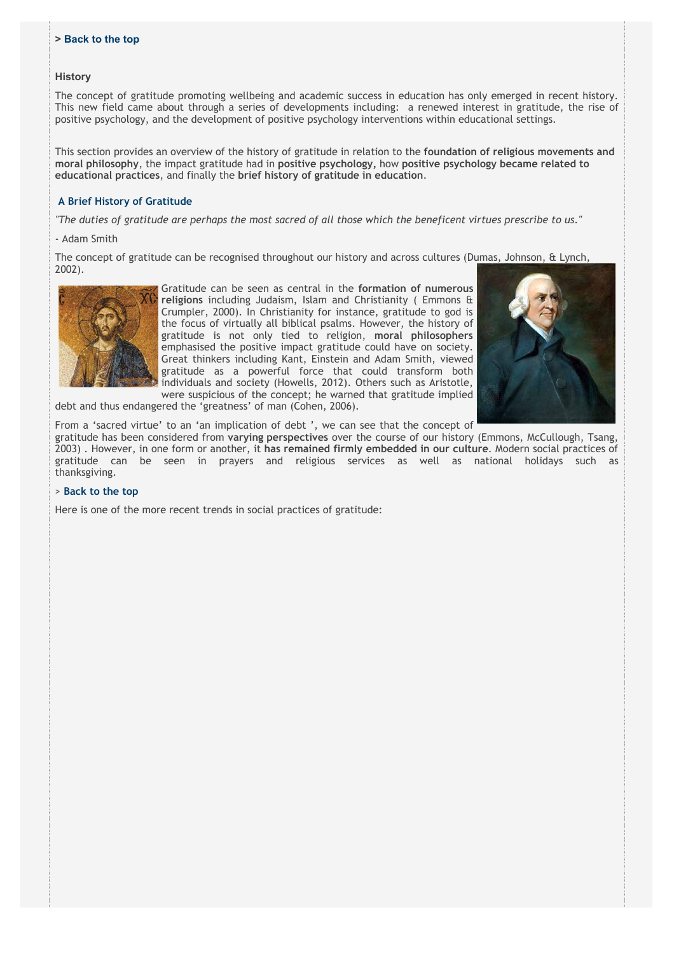## **> [Back to the top](http://fims.moodle.gla.ac.uk/mod/ouwiki/view.php?id=22976&group=450#Cont)**

## **History**

The concept of gratitude promoting wellbeing and academic success in education has only emerged in recent history. This new field came about through a series of developments including: a renewed interest in gratitude, the rise of positive psychology, and the development of positive psychology interventions within educational settings.

This section provides an overview of the history of gratitude in relation to the **foundation of religious movements and moral philosophy**, the impact gratitude had in **positive psychology,** how **positive psychology became related to educational practices**, and finally the **brief history of gratitude in education**.

## **A Brief History of Gratitude**

*"The duties of gratitude are perhaps the most sacred of all those which the beneficent virtues prescribe to us."*

## - Adam Smith

The concept of gratitude can be recognised throughout our history and across cultures (Dumas, Johnson, & Lynch, 2002).



Gratitude can be seen as central in the **formation of numerous religions** including Judaism, Islam and Christianity ( Emmons & Crumpler, 2000). In Christianity for instance, gratitude to god is the focus of virtually all biblical psalms. However, the history of gratitude is not only tied to religion, **moral philosophers** emphasised the positive impact gratitude could have on society. Great thinkers including Kant, Einstein and Adam Smith, viewed gratitude as a powerful force that could transform both individuals and society (Howells, 2012). Others such as Aristotle, were suspicious of the concept; he warned that gratitude implied



From a 'sacred virtue' to an 'an implication of debt ', we can see that the concept of gratitude has been considered from **varying perspectives** over the course of our history (Emmons, McCullough, Tsang, 2003) . However, in one form or another, it **has remained firmly embedded in our culture**. Modern social practices of gratitude can be seen in prayers and religious services as well as national holidays such as thanksgiving.

## > **[Back to the top](http://fims.moodle.gla.ac.uk/mod/ouwiki/view.php?id=22976&group=450#Cont)**

Here is one of the more recent trends in social practices of gratitude:

debt and thus endangered the 'greatness' of man (Cohen, 2006).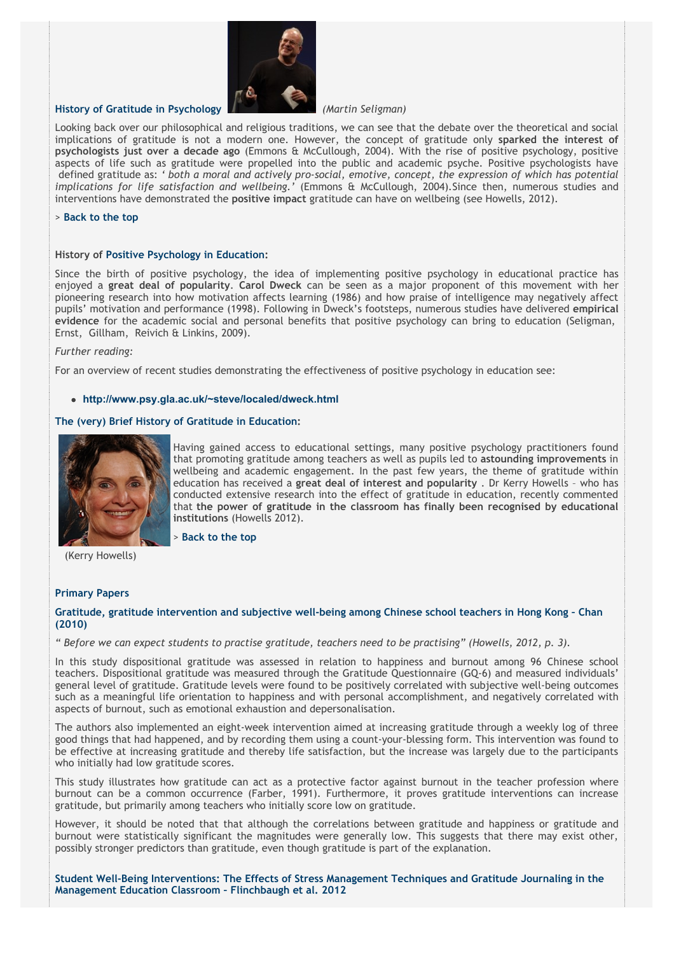

## **History of Gratitude in Psychology** *(Martin Seligman)*

Looking back over our philosophical and religious traditions, we can see that the debate over the theoretical and social implications of gratitude is not a modern one. However, the concept of gratitude only **sparked the interest of psychologists just over a decade ago** (Emmons & McCullough, 2004). With the rise of positive psychology, positive aspects of life such as gratitude were propelled into the public and academic psyche. Positive psychologists have defined gratitude as: *' both a moral and actively pro-social, emotive, concept, the expression of which has potential implications for life satisfaction and wellbeing.'* (Emmons & McCullough, 2004)*.*Since then, numerous studies and interventions have demonstrated the **positive impact** gratitude can have on wellbeing (see Howells, 2012).

#### > **[Back to the top](http://fims.moodle.gla.ac.uk/mod/ouwiki/view.php?id=22976&group=450#Cont)**

## **History of Positive Psychology in Education:**

Since the birth of positive psychology, the idea of implementing positive psychology in educational practice has enjoyed a **great deal of popularity**. **Carol Dweck** can be seen as a major proponent of this movement with her pioneering research into how motivation affects learning (1986) and how praise of intelligence may negatively affect pupils' motivation and performance (1998). Following in Dweck's footsteps, numerous studies have delivered **empirical evidence** for the academic social and personal benefits that positive psychology can bring to education (Seligman, Ernst, Gillham, Reivich & Linkins, 2009).

#### *Further reading:*

For an overview of recent studies demonstrating the effectiveness of positive psychology in education see:

#### **<http://www.psy.gla.ac.uk/~steve/localed/dweck.html>**

#### **The (very) Brief History of Gratitude in Education:**



Having gained access to educational settings, many positive psychology practitioners found that promoting gratitude among teachers as well as pupils led to **astounding improvements** in wellbeing and academic engagement. In the past few years, the theme of gratitude within education has received a **great deal of interest and popularity** . Dr Kerry Howells – who has conducted extensive research into the effect of gratitude in education, recently commented that **the power of gratitude in the classroom has finally been recognised by educational institutions** (Howells 2012).

> **[Back to the top](http://fims.moodle.gla.ac.uk/mod/ouwiki/view.php?id=22976&group=450#Cont)**

(Kerry Howells)

## **Primary Papers**

## **[Gratitude, gratitude intervention and subjective well-being among Chinese school teachers in Hong Kong – Chan](http://fims.moodle.gla.ac.uk/mod/ouwiki/view.php?id=22976&group=450#Ch%202010) (2010)**

*" Before we can expect students to practise gratitude, teachers need to be practising" (Howells, 2012, p. 3).*

In this study dispositional gratitude was assessed in relation to happiness and burnout among 96 Chinese school teachers. Dispositional gratitude was measured through the Gratitude Questionnaire (GQ-6) and measured individuals' general level of gratitude. Gratitude levels were found to be positively correlated with subjective well-being outcomes such as a meaningful life orientation to happiness and with personal accomplishment, and negatively correlated with aspects of burnout, such as emotional exhaustion and depersonalisation.

The authors also implemented an eight-week intervention aimed at increasing gratitude through a weekly log of three good things that had happened, and by recording them using a count-your-blessing form. This intervention was found to be effective at increasing gratitude and thereby life satisfaction, but the increase was largely due to the participants who initially had low gratitude scores.

This study illustrates how gratitude can act as a protective factor against burnout in the teacher profession where burnout can be a common occurrence (Farber, 1991). Furthermore, it proves gratitude interventions can increase gratitude, but primarily among teachers who initially score low on gratitude.

However, it should be noted that that although the correlations between gratitude and happiness or gratitude and burnout were statistically significant the magnitudes were generally low. This suggests that there may exist other, possibly stronger predictors than gratitude, even though gratitude is part of the explanation.

**[Student Well-Being Interventions: The Effects of Stress Management Techniques and Gratitude Journaling in the](http://fims.moodle.gla.ac.uk/mod/ouwiki/view.php?id=22976&group=450#Flin2012) Management Education Classroom – Flinchbaugh et al. 2012**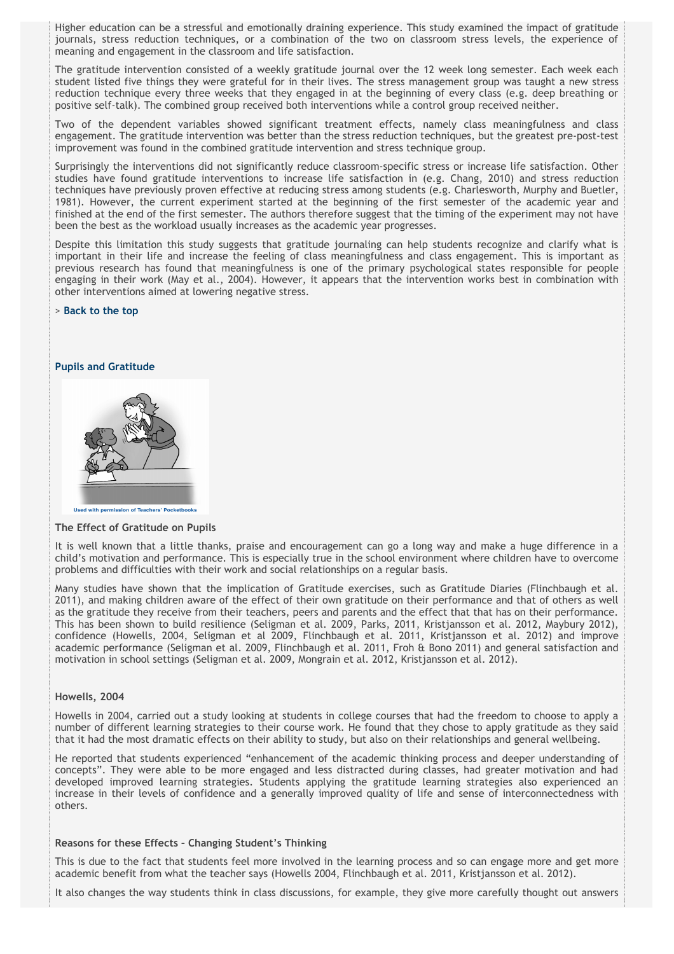Higher education can be a stressful and emotionally draining experience. This study examined the impact of gratitude journals, stress reduction techniques, or a combination of the two on classroom stress levels, the experience of meaning and engagement in the classroom and life satisfaction.

The gratitude intervention consisted of a weekly gratitude journal over the 12 week long semester. Each week each student listed five things they were grateful for in their lives. The stress management group was taught a new stress reduction technique every three weeks that they engaged in at the beginning of every class (e.g. deep breathing or positive self-talk). The combined group received both interventions while a control group received neither.

Two of the dependent variables showed significant treatment effects, namely class meaningfulness and class engagement. The gratitude intervention was better than the stress reduction techniques, but the greatest pre-post-test improvement was found in the combined gratitude intervention and stress technique group.

Surprisingly the interventions did not significantly reduce classroom-specific stress or increase life satisfaction. Other studies have found gratitude interventions to increase life satisfaction in (e.g. Chang, 2010) and stress reduction techniques have previously proven effective at reducing stress among students (e.g. Charlesworth, Murphy and Buetler, 1981). However, the current experiment started at the beginning of the first semester of the academic year and finished at the end of the first semester. The authors therefore suggest that the timing of the experiment may not have been the best as the workload usually increases as the academic year progresses.

Despite this limitation this study suggests that gratitude journaling can help students recognize and clarify what is important in their life and increase the feeling of class meaningfulness and class engagement. This is important as previous research has found that meaningfulness is one of the primary psychological states responsible for people engaging in their work (May et al., 2004). However, it appears that the intervention works best in combination with other interventions aimed at lowering negative stress.

#### > **[Back to the top](http://fims.moodle.gla.ac.uk/mod/ouwiki/view.php?id=22976&group=450#Cont)**

## **Pupils and Gratitude**



#### **The Effect of Gratitude on Pupils**

It is well known that a little thanks, praise and encouragement can go a long way and make a huge difference in a child's motivation and performance. This is especially true in the school environment where children have to overcome problems and difficulties with their work and social relationships on a regular basis.

Many studies have shown that the implication of Gratitude exercises, such as Gratitude Diaries (Flinchbaugh et al. 2011), and making children aware of the effect of their own gratitude on their performance and that of others as well as the gratitude they receive from their teachers, peers and parents and the effect that that has on their performance. This has been shown to build resilience (Seligman et al. 2009, Parks, 2011, Kristjansson et al. 2012, Maybury 2012), confidence (Howells, 2004, Seligman et al 2009, Flinchbaugh et al. 2011, Kristjansson et al. 2012) and improve academic performance (Seligman et al. 2009, Flinchbaugh et al. 2011, Froh & Bono 2011) and general satisfaction and motivation in school settings (Seligman et al. 2009, Mongrain et al. 2012, Kristjansson et al. 2012).

## **Howells, 2004**

Howells in 2004, carried out a study looking at students in college courses that had the freedom to choose to apply a number of different learning strategies to their course work. He found that they chose to apply gratitude as they said that it had the most dramatic effects on their ability to study, but also on their relationships and general wellbeing.

He reported that students experienced "enhancement of the academic thinking process and deeper understanding of concepts". They were able to be more engaged and less distracted during classes, had greater motivation and had developed improved learning strategies. Students applying the gratitude learning strategies also experienced an increase in their levels of confidence and a generally improved quality of life and sense of interconnectedness with others.

## **Reasons for these Effects – Changing Student's Thinking**

This is due to the fact that students feel more involved in the learning process and so can engage more and get more academic benefit from what the teacher says (Howells 2004, Flinchbaugh et al. 2011, Kristjansson et al. 2012).

It also changes the way students think in class discussions, for example, they give more carefully thought out answers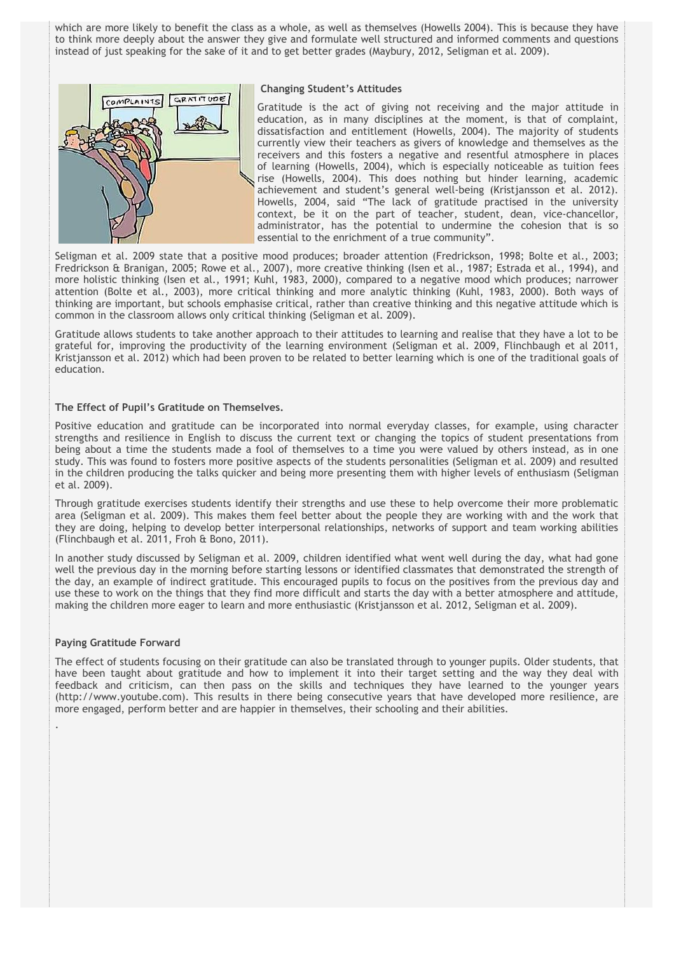which are more likely to benefit the class as a whole, as well as themselves (Howells 2004). This is because they have to think more deeply about the answer they give and formulate well structured and informed comments and questions instead of just speaking for the sake of it and to get better grades (Maybury, 2012, Seligman et al. 2009).



## **Changing Student's Attitudes**

Gratitude is the act of giving not receiving and the major attitude in education, as in many disciplines at the moment, is that of complaint, dissatisfaction and entitlement (Howells, 2004). The majority of students currently view their teachers as givers of knowledge and themselves as the receivers and this fosters a negative and resentful atmosphere in places of learning (Howells, 2004), which is especially noticeable as tuition fees rise (Howells, 2004). This does nothing but hinder learning, academic achievement and student's general well-being (Kristjansson et al. 2012). Howells, 2004, said "The lack of gratitude practised in the university context, be it on the part of teacher, student, dean, vice-chancellor, administrator, has the potential to undermine the cohesion that is so essential to the enrichment of a true community".

Seligman et al. 2009 state that a positive mood produces; broader attention (Fredrickson, 1998; Bolte et al., 2003; Fredrickson & Branigan, 2005; Rowe et al., 2007), more creative thinking (Isen et al., 1987; Estrada et al., 1994), and more holistic thinking (Isen et al., 1991; Kuhl, 1983, 2000), compared to a negative mood which produces; narrower attention (Bolte et al., 2003), more critical thinking and more analytic thinking (Kuhl, 1983, 2000). Both ways of thinking are important, but schools emphasise critical, rather than creative thinking and this negative attitude which is common in the classroom allows only critical thinking (Seligman et al. 2009).

Gratitude allows students to take another approach to their attitudes to learning and realise that they have a lot to be grateful for, improving the productivity of the learning environment (Seligman et al. 2009, Flinchbaugh et al 2011, Kristjansson et al. 2012) which had been proven to be related to better learning which is one of the traditional goals of education.

## **The Effect of Pupil's Gratitude on Themselves.**

Positive education and gratitude can be incorporated into normal everyday classes, for example, using character strengths and resilience in English to discuss the current text or changing the topics of student presentations from being about a time the students made a fool of themselves to a time you were valued by others instead, as in one study. This was found to fosters more positive aspects of the students personalities (Seligman et al. 2009) and resulted in the children producing the talks quicker and being more presenting them with higher levels of enthusiasm (Seligman et al. 2009).

Through gratitude exercises students identify their strengths and use these to help overcome their more problematic area (Seligman et al. 2009). This makes them feel better about the people they are working with and the work that they are doing, helping to develop better interpersonal relationships, networks of support and team working abilities (Flinchbaugh et al. 2011, Froh & Bono, 2011).

In another study discussed by Seligman et al. 2009, children identified what went well during the day, what had gone well the previous day in the morning before starting lessons or identified classmates that demonstrated the strength of the day, an example of indirect gratitude. This encouraged pupils to focus on the positives from the previous day and use these to work on the things that they find more difficult and starts the day with a better atmosphere and attitude, making the children more eager to learn and more enthusiastic (Kristjansson et al. 2012, Seligman et al. 2009).

## **Paying Gratitude Forward**

!

The effect of students focusing on their gratitude can also be translated through to younger pupils. Older students, that have been taught about gratitude and how to implement it into their target setting and the way they deal with feedback and criticism, can then pass on the skills and techniques they have learned to the younger years (http://www.youtube.com). This results in there being consecutive years that have developed more resilience, are more engaged, perform better and are happier in themselves, their schooling and their abilities.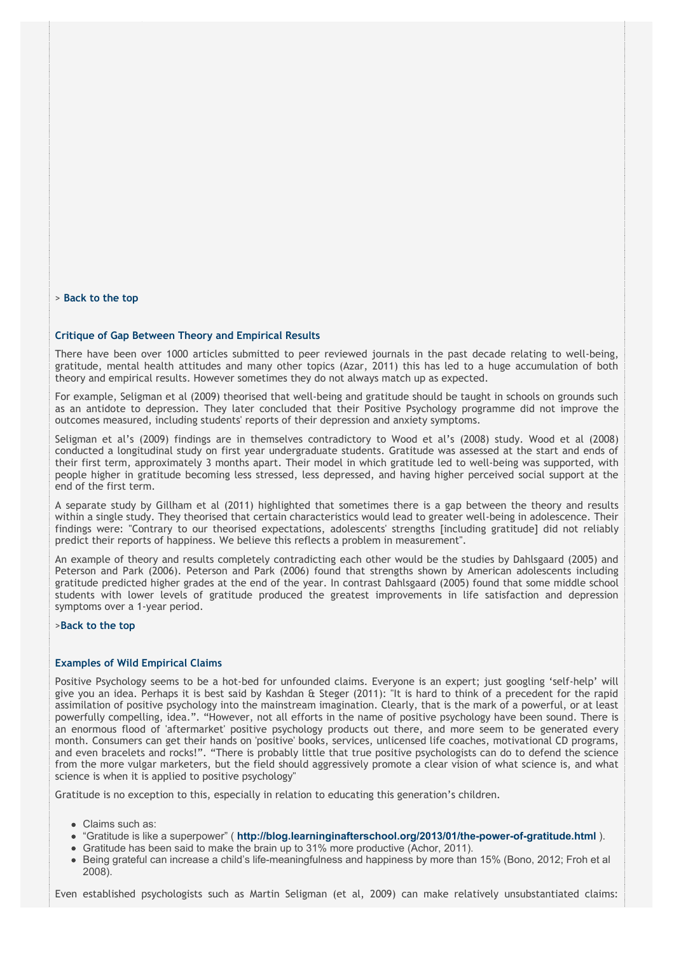> **[Back to the top](http://fims.moodle.gla.ac.uk/mod/ouwiki/view.php?id=22976&group=450#Cont)**

## **Critique of Gap Between Theory and Empirical Results**

There have been over 1000 articles submitted to peer reviewed journals in the past decade relating to well-being, gratitude, mental health attitudes and many other topics (Azar, 2011) this has led to a huge accumulation of both theory and empirical results. However sometimes they do not always match up as expected.

For example, Seligman et al (2009) theorised that well-being and gratitude should be taught in schools on grounds such as an antidote to depression. They later concluded that their Positive Psychology programme did not improve the outcomes measured, including students' reports of their depression and anxiety symptoms.

Seligman et al's (2009) findings are in themselves contradictory to Wood et al's (2008) study. Wood et al (2008) conducted a longitudinal study on first year undergraduate students. Gratitude was assessed at the start and ends of their first term, approximately 3 months apart. Their model in which gratitude led to well-being was supported, with people higher in gratitude becoming less stressed, less depressed, and having higher perceived social support at the end of the first term.

A separate study by Gillham et al (2011) highlighted that sometimes there is a gap between the theory and results within a single study. They theorised that certain characteristics would lead to greater well-being in adolescence. Their findings were: "Contrary to our theorised expectations, adolescents' strengths [including gratitude] did not reliably predict their reports of happiness. We believe this reflects a problem in measurement".

An example of theory and results completely contradicting each other would be the studies by Dahlsgaard (2005) and Peterson and Park (2006). Peterson and Park (2006) found that strengths shown by American adolescents including gratitude predicted higher grades at the end of the year. In contrast Dahlsgaard (2005) found that some middle school students with lower levels of gratitude produced the greatest improvements in life satisfaction and depression symptoms over a 1-year period.

## >**[Back to the top](http://fims.moodle.gla.ac.uk/mod/ouwiki/view.php?id=22976&group=450#Cont)**

## **Examples of Wild Empirical Claims**

Positive Psychology seems to be a hot-bed for unfounded claims. Everyone is an expert; just googling 'self-help' will give you an idea. Perhaps it is best said by Kashdan & Steger (2011): "It is hard to think of a precedent for the rapid assimilation of positive psychology into the mainstream imagination. Clearly, that is the mark of a powerful, or at least powerfully compelling, idea.". "However, not all efforts in the name of positive psychology have been sound. There is an enormous flood of 'aftermarket' positive psychology products out there, and more seem to be generated every month. Consumers can get their hands on 'positive' books, services, unlicensed life coaches, motivational CD programs, and even bracelets and rocks!". "There is probably little that true positive psychologists can do to defend the science from the more vulgar marketers, but the field should aggressively promote a clear vision of what science is, and what science is when it is applied to positive psychology"

Gratitude is no exception to this, especially in relation to educating this generation's children.

- Claims such as:
- "Gratitude is like a superpower" ( **http://blog.learninginafterschool.org/2013/01/the-power-of-gratitude.html** ).
- Gratitude has been said to make the brain up to 31% more productive (Achor, 2011).
- Being grateful can increase a child's life-meaningfulness and happiness by more than 15% (Bono, 2012; Froh et al 2008).

Even established psychologists such as Martin Seligman (et al, 2009) can make relatively unsubstantiated claims: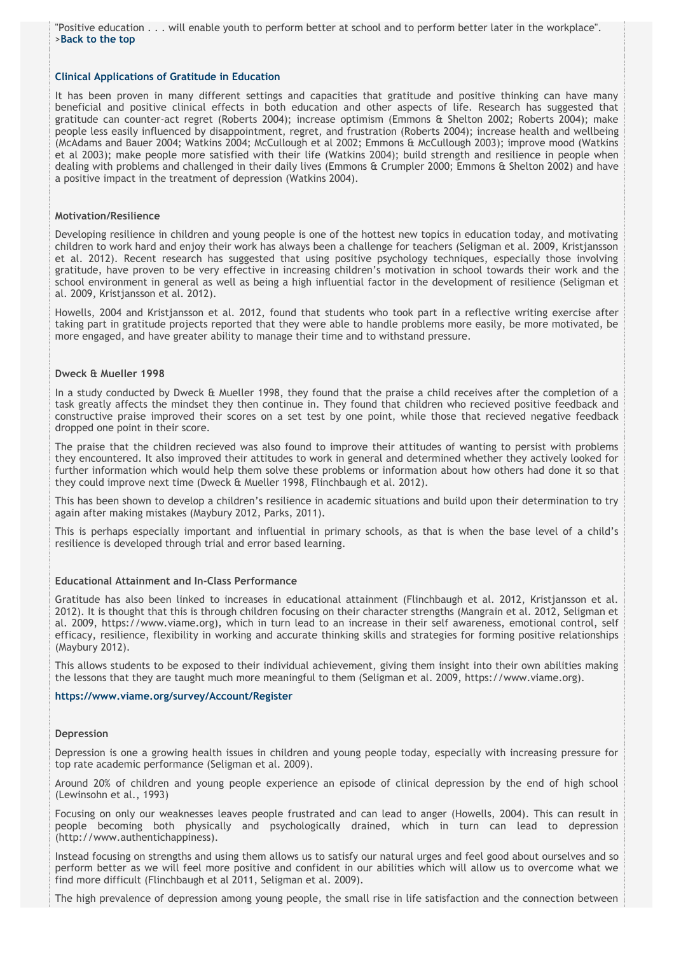"Positive education . . . will enable youth to perform better at school and to perform better later in the workplace". >**[Back to the top](http://fims.moodle.gla.ac.uk/mod/ouwiki/view.php?id=22976&group=450#Cont)**

#### **Clinical Applications of Gratitude in Education**

It has been proven in many different settings and capacities that gratitude and positive thinking can have many beneficial and positive clinical effects in both education and other aspects of life. Research has suggested that gratitude can counter-act regret (Roberts 2004); increase optimism (Emmons & Shelton 2002; Roberts 2004); make people less easily influenced by disappointment, regret, and frustration (Roberts 2004); increase health and wellbeing (McAdams and Bauer 2004; Watkins 2004; McCullough et al 2002; Emmons & McCullough 2003); improve mood (Watkins et al 2003); make people more satisfied with their life (Watkins 2004); build strength and resilience in people when dealing with problems and challenged in their daily lives (Emmons & Crumpler 2000; Emmons & Shelton 2002) and have a positive impact in the treatment of depression (Watkins 2004).

## **Motivation/Resilience**

Developing resilience in children and young people is one of the hottest new topics in education today, and motivating children to work hard and enjoy their work has always been a challenge for teachers (Seligman et al. 2009, Kristjansson et al. 2012). Recent research has suggested that using positive psychology techniques, especially those involving gratitude, have proven to be very effective in increasing children's motivation in school towards their work and the school environment in general as well as being a high influential factor in the development of resilience (Seligman et al. 2009, Kristjansson et al. 2012).

Howells, 2004 and Kristjansson et al. 2012, found that students who took part in a reflective writing exercise after taking part in gratitude projects reported that they were able to handle problems more easily, be more motivated, be more engaged, and have greater ability to manage their time and to withstand pressure.

## **Dweck & Mueller 1998**

In a study conducted by Dweck & Mueller 1998, they found that the praise a child receives after the completion of a task greatly affects the mindset they then continue in. They found that children who recieved positive feedback and constructive praise improved their scores on a set test by one point, while those that recieved negative feedback dropped one point in their score.

The praise that the children recieved was also found to improve their attitudes of wanting to persist with problems they encountered. It also improved their attitudes to work in general and determined whether they actively looked for further information which would help them solve these problems or information about how others had done it so that they could improve next time (Dweck & Mueller 1998, Flinchbaugh et al. 2012).

This has been shown to develop a children's resilience in academic situations and build upon their determination to try again after making mistakes (Maybury 2012, Parks, 2011).

This is perhaps especially important and influential in primary schools, as that is when the base level of a child's resilience is developed through trial and error based learning.

## **Educational Attainment and In-Class Performance**

Gratitude has also been linked to increases in educational attainment (Flinchbaugh et al. 2012, Kristjansson et al. 2012). It is thought that this is through children focusing on their character strengths (Mangrain et al. 2012, Seligman et al. 2009, https://www.viame.org), which in turn lead to an increase in their self awareness, emotional control, self efficacy, resilience, flexibility in working and accurate thinking skills and strategies for forming positive relationships (Maybury 2012).

This allows students to be exposed to their individual achievement, giving them insight into their own abilities making the lessons that they are taught much more meaningful to them (Seligman et al. 2009, https://www.viame.org).

#### **<https://www.viame.org/survey/Account/Register>**

## **Depression**

Depression is one a growing health issues in children and young people today, especially with increasing pressure for top rate academic performance (Seligman et al. 2009).

Around 20% of children and young people experience an episode of clinical depression by the end of high school (Lewinsohn et al., 1993)

Focusing on only our weaknesses leaves people frustrated and can lead to anger (Howells, 2004). This can result in people becoming both physically and psychologically drained, which in turn can lead to depression (http://www.authentichappiness).

Instead focusing on strengths and using them allows us to satisfy our natural urges and feel good about ourselves and so perform better as we will feel more positive and confident in our abilities which will allow us to overcome what we find more difficult (Flinchbaugh et al 2011, Seligman et al. 2009).

The high prevalence of depression among young people, the small rise in life satisfaction and the connection between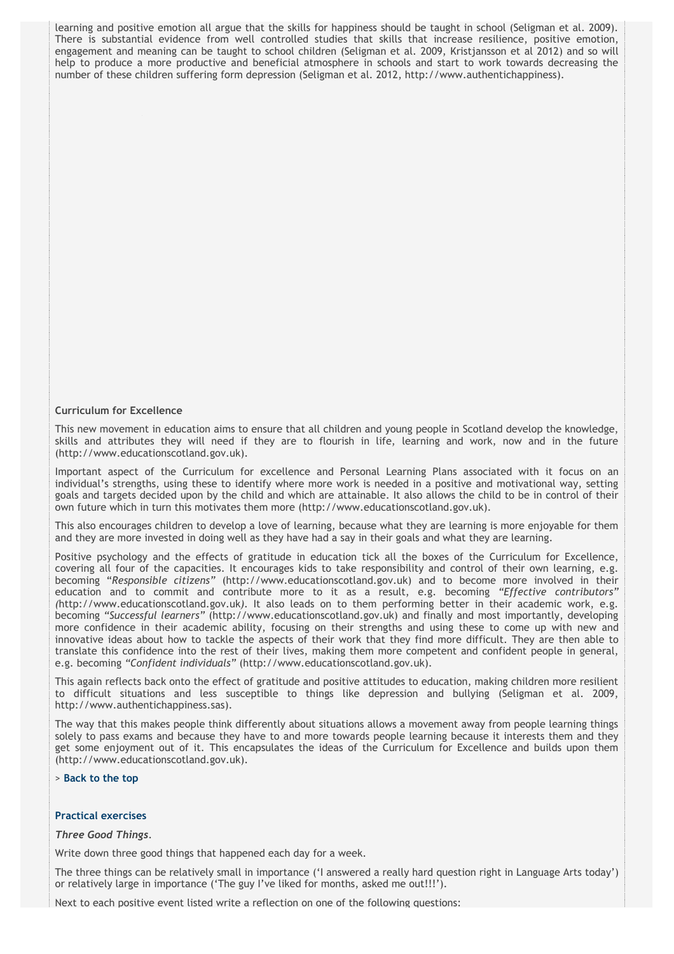learning and positive emotion all argue that the skills for happiness should be taught in school (Seligman et al. 2009). There is substantial evidence from well controlled studies that skills that increase resilience, positive emotion, engagement and meaning can be taught to school children (Seligman et al. 2009, Kristjansson et al 2012) and so will help to produce a more productive and beneficial atmosphere in schools and start to work towards decreasing the number of these children suffering form depression (Seligman et al. 2012, http://www.authentichappiness).

## **Curriculum for Excellence**

This new movement in education aims to ensure that all children and young people in Scotland develop the knowledge, skills and attributes they will need if they are to flourish in life, learning and work, now and in the future (http://www.educationscotland.gov.uk).

Important aspect of the Curriculum for excellence and Personal Learning Plans associated with it focus on an individual's strengths, using these to identify where more work is needed in a positive and motivational way, setting goals and targets decided upon by the child and which are attainable. It also allows the child to be in control of their own future which in turn this motivates them more (http://www.educationscotland.gov.uk).

This also encourages children to develop a love of learning, because what they are learning is more enjoyable for them and they are more invested in doing well as they have had a say in their goals and what they are learning.

Positive psychology and the effects of gratitude in education tick all the boxes of the Curriculum for Excellence, covering all four of the capacities. It encourages kids to take responsibility and control of their own learning, e.g. becoming "*Responsible citizens"* (http://www.educationscotland.gov.uk) and to become more involved in their education and to commit and contribute more to it as a result, e.g. becoming *"Effective contributors" (*http://www.educationscotland.gov.uk*).* It also leads on to them performing better in their academic work, e.g. becoming *"Successful learners"* (http://www.educationscotland.gov.uk) and finally and most importantly, developing more confidence in their academic ability, focusing on their strengths and using these to come up with new and innovative ideas about how to tackle the aspects of their work that they find more difficult. They are then able to translate this confidence into the rest of their lives, making them more competent and confident people in general, e.g. becoming *"Confident individuals"* (http://www.educationscotland.gov.uk).

This again reflects back onto the effect of gratitude and positive attitudes to education, making children more resilient to difficult situations and less susceptible to things like depression and bullying (Seligman et al. 2009, http://www.authentichappiness.sas).

The way that this makes people think differently about situations allows a movement away from people learning things solely to pass exams and because they have to and more towards people learning because it interests them and they get some enjoyment out of it. This encapsulates the ideas of the Curriculum for Excellence and builds upon them (http://www.educationscotland.gov.uk).

> **[Back to the top](http://fims.moodle.gla.ac.uk/mod/ouwiki/view.php?id=22976&group=450#Cont)**

## **Practical exercises**

## *Three Good Things*.

Write down three good things that happened each day for a week.

The three things can be relatively small in importance ('I answered a really hard question right in Language Arts today') or relatively large in importance ('The guy I've liked for months, asked me out!!!').

Next to each positive event listed write a reflection on one of the following questions: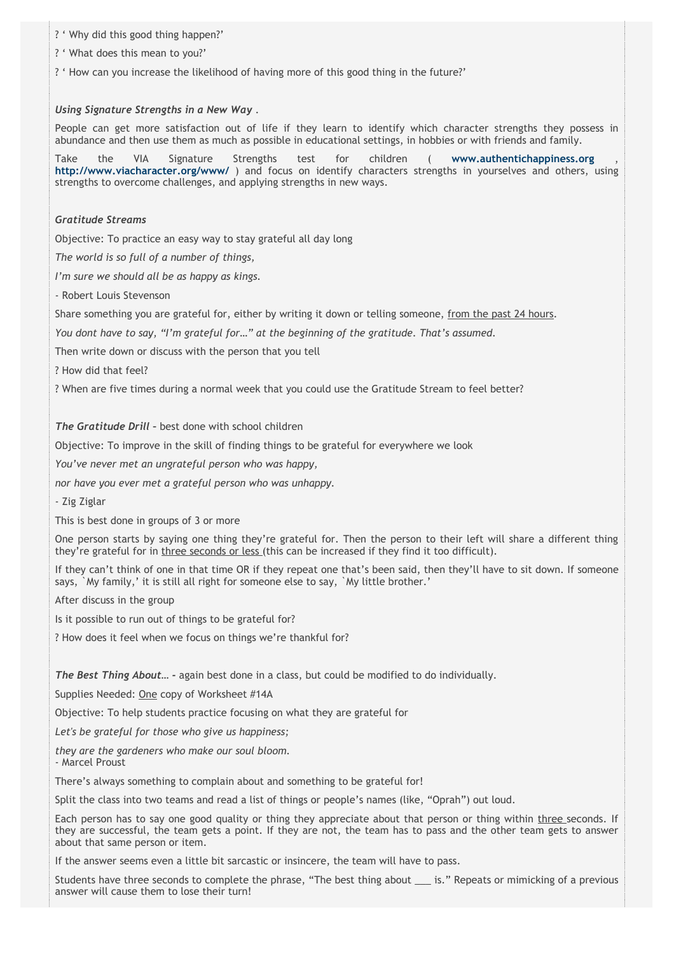- ? ' Why did this good thing happen?'
- ? ' What does this mean to you?'
- ? ' How can you increase the likelihood of having more of this good thing in the future?'

## *Using Signature Strengths in a New Way* .

People can get more satisfaction out of life if they learn to identify which character strengths they possess in abundance and then use them as much as possible in educational settings, in hobbies or with friends and family.

Take the VIA Signature Strengths test for children ( **[www.authentichappiness.org](http://www.authentichappiness.org/)** , **<http://www.viacharacter.org/www/>**) and focus on identify characters strengths in yourselves and others, using strengths to overcome challenges, and applying strengths in new ways.

## *Gratitude Streams*

Objective: To practice an easy way to stay grateful all day long

*The world is so full of a number of things,*

*I'm sure we should all be as happy as kings.*

- Robert Louis Stevenson

Share something you are grateful for, either by writing it down or telling someone, from the past 24 hours.

*You dont have to say, "I'm grateful for…" at the beginning of the gratitude. That's assumed.*

Then write down or discuss with the person that you tell

? How did that feel?

? When are five times during a normal week that you could use the Gratitude Stream to feel better?

*The Gratitude Drill –* best done with school children

Objective: To improve in the skill of finding things to be grateful for everywhere we look

*You've never met an ungrateful person who was happy,*

*nor have you ever met a grateful person who was unhappy.*

- Zig Ziglar

This is best done in groups of 3 or more

One person starts by saying one thing they're grateful for. Then the person to their left will share a different thing they're grateful for in three seconds or less (this can be increased if they find it too difficult).

If they can't think of one in that time OR if they repeat one that's been said, then they'll have to sit down. If someone says, `My family,' it is still all right for someone else to say, `My little brother.'

After discuss in the group

Is it possible to run out of things to be grateful for?

? How does it feel when we focus on things we're thankful for?

*The Best Thing About… -* again best done in a class, but could be modified to do individually.

Supplies Needed: One copy of Worksheet #14A

Objective: To help students practice focusing on what they are grateful for

*Let's be grateful for those who give us happiness;*

*they are the gardeners who make our soul bloom.*

- Marcel Proust

There's always something to complain about and something to be grateful for!

Split the class into two teams and read a list of things or people's names (like, "Oprah") out loud.

Each person has to say one good quality or thing they appreciate about that person or thing within three seconds. If they are successful, the team gets a point. If they are not, the team has to pass and the other team gets to answer about that same person or item.

If the answer seems even a little bit sarcastic or insincere, the team will have to pass.

Students have three seconds to complete the phrase, "The best thing about \_\_\_ is." Repeats or mimicking of a previous answer will cause them to lose their turn!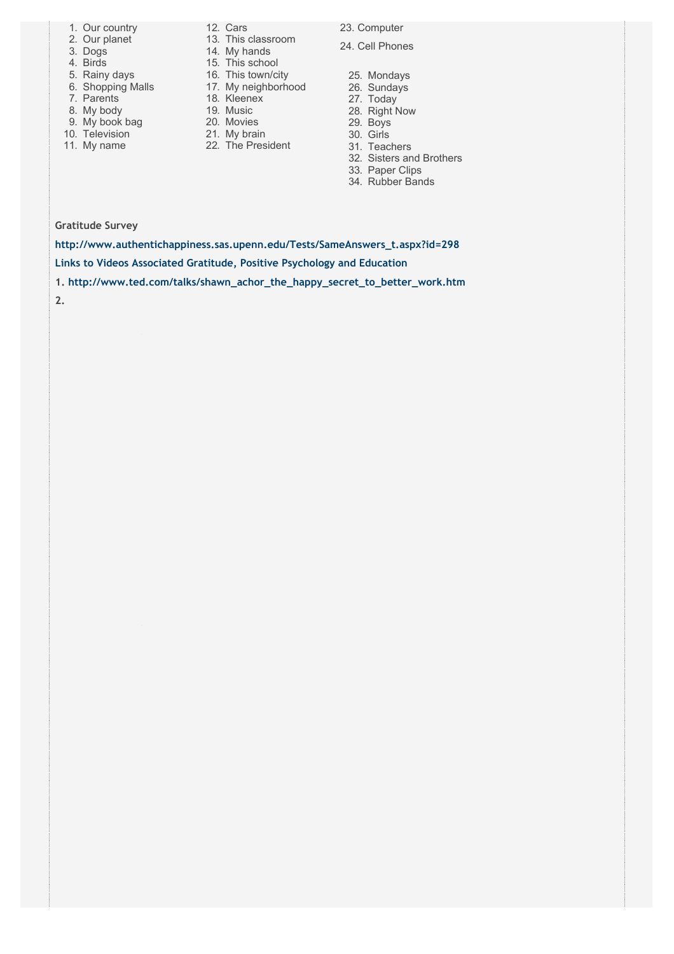- 1. Our country
- 2. Our planet
- 3. Dogs
- 4. Birds
- 5. Rainy days 6. Shopping Malls
- 7. Parents
- 8. My body
- 9. My book bag
- 9. Ivit No. 1<br>10. Television
- 11. My name
- **12. Cars** 
	- 13. This classroom 14. My hands
		- 15. This school
		- 16. This town/city
		- 17. My neighborhood
		- 18. Kleenex
		- 19. Music
		- 20. Movies
		- 21. My brain
		- 22. The President
- 23. Computer
- 24. Cell Phones
- 25. Mondays
- 26. Sundays
- 27. Today
- 28. Right Now
- 29. Boys
- 30. Girls
- 31. Teachers
- 32. Sisters and Brothers
- 33. Paper Clips 34. Rubber Bands

**Gratitude Survey**

**[http://www.authentichappiness.sas.upenn.edu/Tests/SameAnswers\\_t.aspx?id=298](http://www.authentichappiness.sas.upenn.edu/Tests/SameAnswers_t.aspx?id=298) Links to Videos Associated Gratitude, Positive Psychology and Education**

- **1. [http://www.ted.com/talks/shawn\\_achor\\_the\\_happy\\_secret\\_to\\_better\\_work.htm](http://www.ted.com/talks/shawn_achor_the_happy_secret_to_better_work.htm)**
- **2.**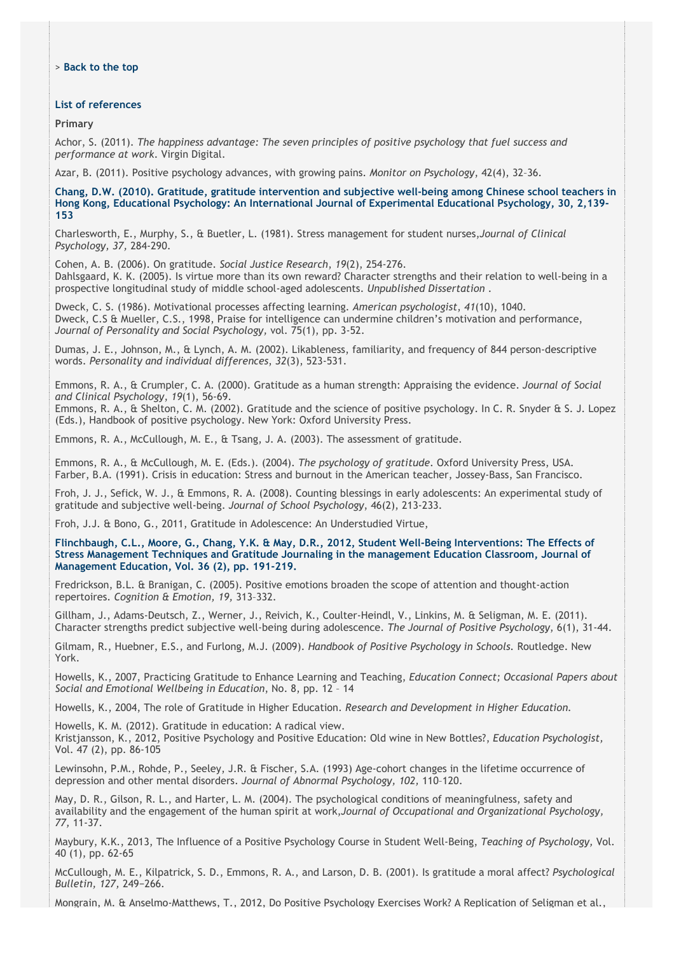## **List of references**

**Primary**

Achor, S. (2011). *The happiness advantage: The seven principles of positive psychology that fuel success and performance at work*. Virgin Digital.

Azar, B. (2011). Positive psychology advances, with growing pains. *Monitor on Psychology*, 42(4), 32–36.

**Chang, D.W. (2010). Gratitude, gratitude intervention and subjective well-being among Chinese school teachers in Hong Kong, Educational Psychology: An International Journal of Experimental Educational Psychology, 30, 2,139- 153**

Charlesworth, E., Murphy, S., & Buetler, L. (1981). Stress management for student nurses,*Journal of Clinical Psychology, 37,* 284-290.

Cohen, A. B. (2006). On gratitude. *Social Justice Research*, *19*(2), 254-276. Dahlsgaard, K. K. (2005). Is virtue more than its own reward? Character strengths and their relation to well-being in a prospective longitudinal study of middle school-aged adolescents. *Unpublished Dissertation* .

Dweck, C. S. (1986). Motivational processes affecting learning. *American psychologist*, *41*(10), 1040. Dweck, C.S & Mueller, C.S., 1998, Praise for intelligence can undermine children's motivation and performance, *Journal of Personality and Social Psychology,* vol. 75(1), pp. 3-52.

Dumas, J. E., Johnson, M., & Lynch, A. M. (2002). Likableness, familiarity, and frequency of 844 person-descriptive words. *Personality and individual differences*, *32*(3), 523-531.

Emmons, R. A., & Crumpler, C. A. (2000). Gratitude as a human strength: Appraising the evidence. *Journal of Social and Clinical Psychology*, *19*(1), 56-69.

Emmons, R. A., & Shelton, C. M. (2002). Gratitude and the science of positive psychology. In C. R. Snyder & S. J. Lopez (Eds.), Handbook of positive psychology. New York: Oxford University Press.

Emmons, R. A., McCullough, M. E., & Tsang, J. A. (2003). The assessment of gratitude.

Emmons, R. A., & McCullough, M. E. (Eds.). (2004). *The psychology of gratitude*. Oxford University Press, USA. Farber, B.A. (1991). Crisis in education: Stress and burnout in the American teacher, Jossey-Bass, San Francisco.

Froh, J. J., Sefick, W. J., & Emmons, R. A. (2008). Counting blessings in early adolescents: An experimental study of gratitude and subjective well-being. *Journal of School Psychology*, 46(2), 213-233.

Froh, J.J. & Bono, G., 2011, Gratitude in Adolescence: An Understudied Virtue,

**Flinchbaugh, C.L., Moore, G., Chang, Y.K. & May, D.R., 2012, Student Well-Being Interventions: The Effects of Stress Management Techniques and Gratitude Journaling in the management Education Classroom, Journal of Management Education, Vol. 36 (2), pp. 191-219.**

Fredrickson, B.L. & Branigan, C. (2005). Positive emotions broaden the scope of attention and thought-action repertoires. *Cognition & Emotion, 19,* 313–332.

Gillham, J., Adams-Deutsch, Z., Werner, J., Reivich, K., Coulter-Heindl, V., Linkins, M. & Seligman, M. E. (2011). Character strengths predict subjective well-being during adolescence. *The Journal of Positive Psychology*, 6(1), 31-44.

Gilmam, R., Huebner, E.S., and Furlong, M.J. (2009). *Handbook of Positive Psychology in Schools.* Routledge. New York.

Howells, K., 2007, Practicing Gratitude to Enhance Learning and Teaching, *Education Connect; Occasional Papers about Social and Emotional Wellbeing in Education*, No. 8, pp. 12 – 14

Howells, K., 2004, The role of Gratitude in Higher Education. *Research and Development in Higher Education.*

Howells, K. M. (2012). Gratitude in education: A radical view.

Kristjansson, K., 2012, Positive Psychology and Positive Education: Old wine in New Bottles?, *Education Psychologist,* Vol. 47 (2), pp. 86-105

Lewinsohn, P.M., Rohde, P., Seeley, J.R. & Fischer, S.A. (1993) Age-cohort changes in the lifetime occurrence of depression and other mental disorders. *Journal of Abnormal Psychology, 102,* 110–120.

May, D. R., Gilson, R. L., and Harter, L. M. (2004). The psychological conditions of meaningfulness, safety and availability and the engagement of the human spirit at work,*Journal of Occupational and Organizational Psychology, 77,* 11-37.

Maybury, K.K., 2013, The Influence of a Positive Psychology Course in Student Well-Being, *Teaching of Psychology,* Vol. 40 (1), pp. 62-65

McCullough, M. E., Kilpatrick, S. D., Emmons, R. A., and Larson, D. B. (2001). Is gratitude a moral affect? *Psychological Bulletin, 127, 249-266.* 

Mongrain, M. & Anselmo-Matthews, T., 2012, Do Positive Psychology Exercises Work? A Replication of Seligman et al.,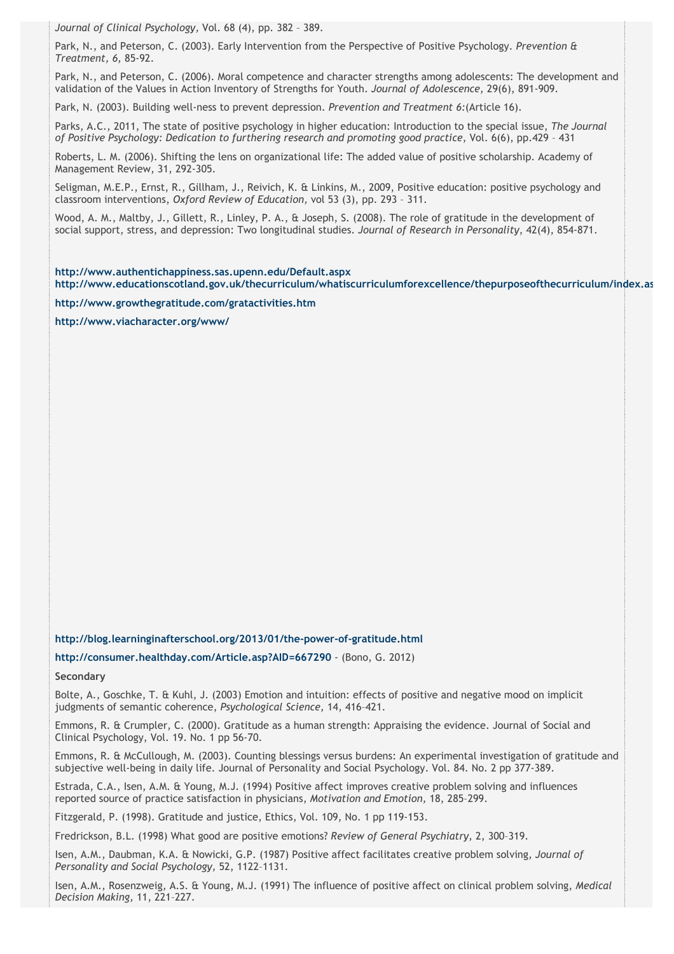*Journal of Clinical Psychology,* Vol. 68 (4), pp. 382 – 389.

Park, N., and Peterson, C. (2003). Early Intervention from the Perspective of Positive Psychology. *Prevention & Treatment, 6,* 85-92.

Park, N., and Peterson, C. (2006). Moral competence and character strengths among adolescents: The development and validation of the Values in Action Inventory of Strengths for Youth. *Journal of Adolescence,* 29(6), 891-909.

Park, N. (2003). Building well-ness to prevent depression. *Prevention and Treatment 6:*(Article 16).

Parks, A.C., 2011, The state of positive psychology in higher education: Introduction to the special issue, *The Journal of Positive Psychology: Dedication to furthering research and promoting good practice*, Vol. 6(6), pp.429 – 431

Roberts, L. M. (2006). Shifting the lens on organizational life: The added value of positive scholarship. Academy of Management Review, 31, 292-305.

Seligman, M.E.P., Ernst, R., Gillham, J., Reivich, K. & Linkins, M., 2009, Positive education: positive psychology and classroom interventions, *Oxford Review of Education,* vol 53 (3), pp. 293 – 311.

Wood, A. M., Maltby, J., Gillett, R., Linley, P. A., & Joseph, S. (2008). The role of gratitude in the development of social support, stress, and depression: Two longitudinal studies. *Journal of Research in Personality*, 42(4), 854-871.

**<http://www.authentichappiness.sas.upenn.edu/Default.aspx> [http://www.educationscotland.gov.uk/thecurriculum/whatiscurriculumforexcellence/thepurposeofthecurriculum/index.as](http://www.educationscotland.gov.uk/thecurriculum/whatiscurriculumforexcellence/thepurposeofthecurriculum/index.asp)p**

**<http://www.growthegratitude.com/gratactivities.htm>**

**<http://www.viacharacter.org/www/>**

**<http://blog.learninginafterschool.org/2013/01/the-power-of-gratitude.html>**

**<http://consumer.healthday.com/Article.asp?AID=667290>** - (Bono, G. 2012)

**Secondary**

Bolte, A., Goschke, T. & Kuhl, J. (2003) Emotion and intuition: effects of positive and negative mood on implicit judgments of semantic coherence, *Psychological Science,* 14, 416–421.

Emmons, R. & Crumpler, C. (2000). Gratitude as a human strength: Appraising the evidence. Journal of Social and Clinical Psychology, Vol. 19. No. 1 pp 56-70.

Emmons, R. & McCullough, M. (2003). Counting blessings versus burdens: An experimental investigation of gratitude and subjective well-being in daily life. Journal of Personality and Social Psychology. Vol. 84. No. 2 pp 377-389.

Estrada, C.A., Isen, A.M. & Young, M.J. (1994) Positive affect improves creative problem solving and influences reported source of practice satisfaction in physicians, *Motivation and Emotion,* 18, 285–299.

Fitzgerald, P. (1998). Gratitude and justice, Ethics, Vol. 109, No. 1 pp 119-153.

Fredrickson, B.L. (1998) What good are positive emotions? *Review of General Psychiatry,* 2, 300–319.

Isen, A.M., Daubman, K.A. & Nowicki, G.P. (1987) Positive affect facilitates creative problem solving, *Journal of Personality and Social Psychology,* 52, 1122–1131.

Isen, A.M., Rosenzweig, A.S. & Young, M.J. (1991) The influence of positive affect on clinical problem solving, *Medical Decision Making,* 11, 221–227.